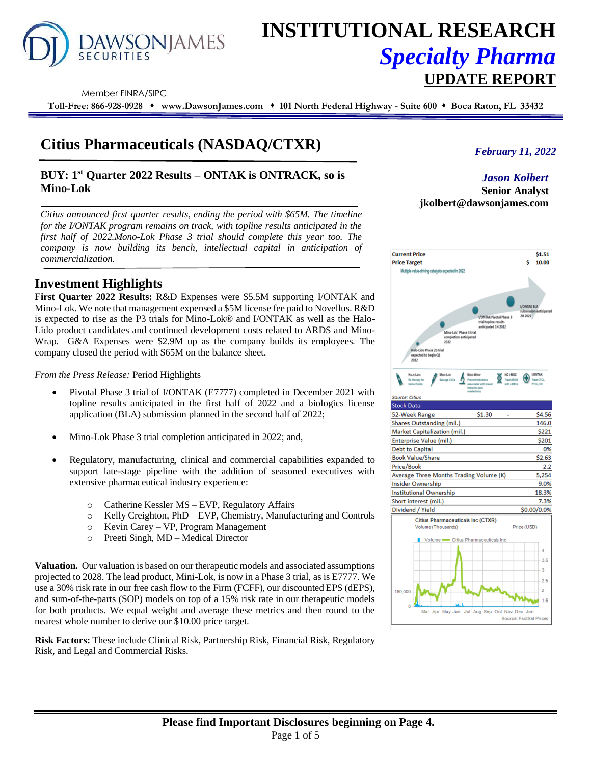

# **INSTITUTIONAL RESEARCH** *Specialty Pharma*  **UPDATE REPORT**

Member FINRA/SIPC

**Toll-Free: 866-928-0928** ⬧ **www.DawsonJames.com** ⬧ **101 North Federal Highway - Suite 600** ⬧ **Boca Raton, FL 33432**

# **Citius Pharmaceuticals (NASDAQ/CTXR)**

# **BUY: 1 st Quarter 2022 Results – ONTAK is ONTRACK, so is Mino-Lok**

*Citius announced first quarter results, ending the period with \$65M. The timeline for the I/ONTAK program remains on track, with topline results anticipated in the first half of 2022.Mono-Lok Phase 3 trial should complete this year too. The company is now building its bench, intellectual capital in anticipation of commercialization.*

# **Investment Highlights**

**First Quarter 2022 Results:** R&D Expenses were \$5.5M supporting I/ONTAK and Mino-Lok. We note that management expensed a \$5M license fee paid to Novellus. R&D is expected to rise as the P3 trials for Mino-Lok® and I/ONTAK as well as the Halo-Lido product candidates and continued development costs related to ARDS and Mino-Wrap. G&A Expenses were \$2.9M up as the company builds its employees. The company closed the period with \$65M on the balance sheet.

*From the Press Release:* Period Highlights

- Pivotal Phase 3 trial of I/ONTAK (E7777) completed in December 2021 with topline results anticipated in the first half of 2022 and a biologics license application (BLA) submission planned in the second half of 2022;
- Mino-Lok Phase 3 trial completion anticipated in 2022; and,
- Regulatory, manufacturing, clinical and commercial capabilities expanded to support late-stage pipeline with the addition of seasoned executives with extensive pharmaceutical industry experience:
	- o Catherine Kessler MS EVP, Regulatory Affairs
	- o Kelly Creighton, PhD EVP, Chemistry, Manufacturing and Controls
	- o Kevin Carey VP, Program Management
	- o Preeti Singh, MD Medical Director

**Valuation.** Our valuation is based on our therapeutic models and associated assumptions projected to 2028. The lead product, Mini-Lok, is now in a Phase 3 trial, as is E7777. We use a 30% risk rate in our free cash flow to the Firm (FCFF), our discounted EPS (dEPS), and sum-of-the-parts (SOP) models on top of a 15% risk rate in our therapeutic models for both products. We equal weight and average these metrics and then round to the nearest whole number to derive our \$10.00 price target.

**Risk Factors:** These include Clinical Risk, Partnership Risk, Financial Risk, Regulatory Risk, and Legal and Commercial Risks.

*February 11, 2022*

### *Jason Kolbert*

**Senior Analyst jkolbert@dawsonjames.com**

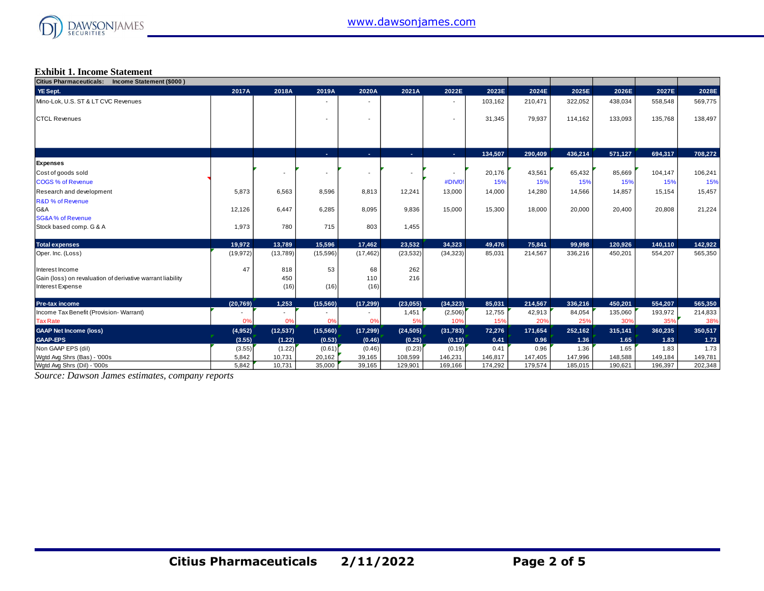

#### **Exhibit 1. Income Statement**

| Citius Pharmaceuticals: Income Statement (\$000)           |                          |                          |           |                          |           |           |         |         |         |         |         |         |
|------------------------------------------------------------|--------------------------|--------------------------|-----------|--------------------------|-----------|-----------|---------|---------|---------|---------|---------|---------|
| YE Sept.                                                   | 2017A                    | 2018A                    | 2019A     | 2020A                    | 2021A     | 2022E     | 2023E   | 2024E   | 2025E   | 2026E   | 2027E   | 2028E   |
| Mino-Lok, U.S. ST & LT CVC Revenues                        |                          |                          |           |                          |           |           | 103,162 | 210,471 | 322,052 | 438,034 | 558,548 | 569,775 |
|                                                            |                          |                          |           |                          |           |           |         |         |         |         |         |         |
| <b>CTCL Revenues</b>                                       |                          |                          |           | $\overline{\phantom{a}}$ |           |           | 31,345  | 79,937  | 114,162 | 133,093 | 135,768 | 138,497 |
|                                                            |                          |                          |           |                          |           |           |         |         |         |         |         |         |
|                                                            |                          |                          |           |                          |           |           |         |         |         |         |         |         |
|                                                            |                          |                          | A.        | х.                       | ÷.        | A.        | 134,507 | 290,409 | 436,214 | 571,127 | 694,317 | 708,272 |
| Expenses                                                   |                          |                          |           |                          |           |           |         |         |         |         |         |         |
| Cost of goods sold                                         |                          |                          |           | $\overline{\phantom{a}}$ |           |           | 20,176  | 43,561  | 65,432  | 85,669  | 104,147 | 106,241 |
| <b>COGS % of Revenue</b>                                   |                          |                          |           |                          |           | #DIV/0!   | 15%     | 15%     | 15%     | 15%     | 15%     | 15%     |
| Research and development                                   | 5,873                    | 6,563                    | 8,596     | 8,813                    | 12,241    | 13,000    | 14,000  | 14,280  | 14,566  | 14,857  | 15,154  | 15,457  |
| <b>R&amp;D % of Revenue</b>                                |                          |                          |           |                          |           |           |         |         |         |         |         |         |
| G&A                                                        | 12,126                   | 6.447                    | 6,285     | 8,095                    | 9,836     | 15,000    | 15,300  | 18,000  | 20,000  | 20,400  | 20,808  | 21,224  |
| <b>SG&amp;A% of Revenue</b>                                |                          |                          |           |                          |           |           |         |         |         |         |         |         |
| Stock based comp. G & A                                    | 1,973                    | 780                      | 715       | 803                      | 1,455     |           |         |         |         |         |         |         |
| <b>Total expenses</b>                                      | 19,972                   | 13,789                   | 15,596    | 17,462                   | 23.532    | 34,323    | 49,476  | 75,841  | 99,998  | 120,926 | 140,110 | 142,922 |
| Oper. Inc. (Loss)                                          | (19, 972)                | (13,789)                 | (15,596)  | (17, 462)                | (23, 532) | (34, 323) | 85,031  | 214,567 | 336,216 | 450,201 | 554,207 | 565,350 |
| Interest Income                                            | 47                       | 818                      | 53        | 68                       | 262       |           |         |         |         |         |         |         |
| Gain (loss) on revaluation of derivative warrant liability |                          | 450                      |           | 110                      | 216       |           |         |         |         |         |         |         |
| Interest Expense                                           |                          | (16)                     | (16)      | (16)                     |           |           |         |         |         |         |         |         |
| Pre-tax income                                             | (20, 769)                | 1,253                    | (15, 560) | (17, 299)                | (23,055)  | (34, 323) | 85,031  | 214,567 | 336,216 | 450,201 | 554,207 | 565,350 |
| Income Tax Benefit (Provision-Warrant)                     | $\overline{\phantom{a}}$ | $\overline{\phantom{a}}$ |           | $\overline{\phantom{a}}$ | 1,451     | (2,506)   | 12,755  | 42,913  | 84,054  | 135,060 | 193,972 | 214,833 |
| <b>Tax Rate</b>                                            | 0%                       | 0%                       | 0%        | 0%                       | 5%        | 10%       | 15%     | 20%     | 25%     | 30%     | 35%     | 38%     |
| <b>GAAP Net Income (loss)</b>                              | (4,952)                  | (12, 537)                | (15,560)  | (17, 299)                | (24, 505) | (31, 783) | 72,276  | 171,654 | 252,162 | 315,141 | 360,235 | 350,517 |
| <b>GAAP-EPS</b>                                            | (3.55)                   | (1.22)                   | (0.53)    | (0.46)                   | (0.25)    | (0.19)    | 0.41    | 0.96    | 1.36    | 1.65    | 1.83    | 1.73    |
| Non GAAP EPS (dil)                                         | (3.55)                   | (1.22)                   | (0.61)    | (0.46)                   | (0.23)    | (0.19)    | 0.41    | 0.96    | 1.36    | 1.65    | 1.83    | 1.73    |
| Wgtd Avg Shrs (Bas) - '000s                                | 5,842                    | 10,731                   | 20,162    | 39,165                   | 108,599   | 146,231   | 146,817 | 147,405 | 147,996 | 148,588 | 149,184 | 149,781 |
| Watd Ava Shrs (Dil) - '000s                                | 5.842                    | 10,731                   | 35,000    | 39,165                   | 129,901   | 169,166   | 174,292 | 179,574 | 185,015 | 190,621 | 196,397 | 202,348 |

*Source: Dawson James estimates, company reports*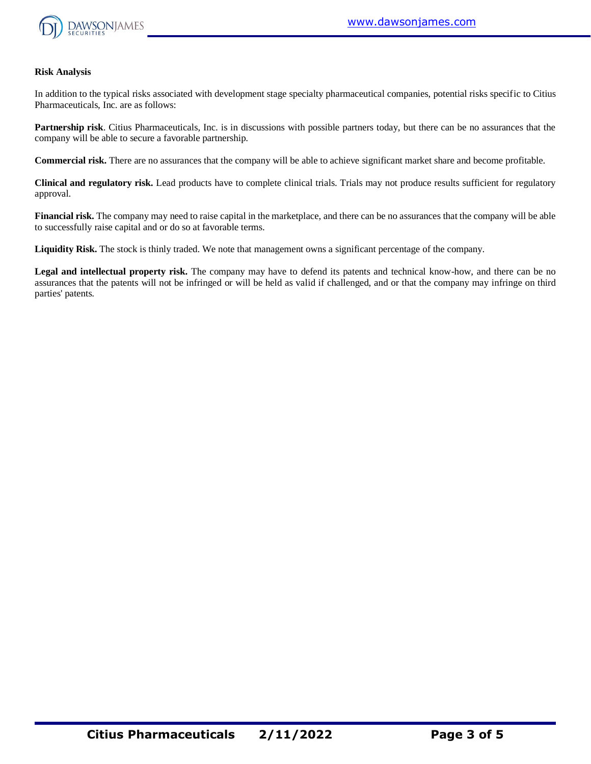

#### **Risk Analysis**

In addition to the typical risks associated with development stage specialty pharmaceutical companies, potential risks specific to Citius Pharmaceuticals, Inc. are as follows:

**Partnership risk**. Citius Pharmaceuticals, Inc. is in discussions with possible partners today, but there can be no assurances that the company will be able to secure a favorable partnership.

**Commercial risk.** There are no assurances that the company will be able to achieve significant market share and become profitable.

**Clinical and regulatory risk.** Lead products have to complete clinical trials. Trials may not produce results sufficient for regulatory approval.

**Financial risk.** The company may need to raise capital in the marketplace, and there can be no assurances that the company will be able to successfully raise capital and or do so at favorable terms.

**Liquidity Risk.** The stock is thinly traded. We note that management owns a significant percentage of the company.

**Legal and intellectual property risk.** The company may have to defend its patents and technical know-how, and there can be no assurances that the patents will not be infringed or will be held as valid if challenged, and or that the company may infringe on third parties' patents.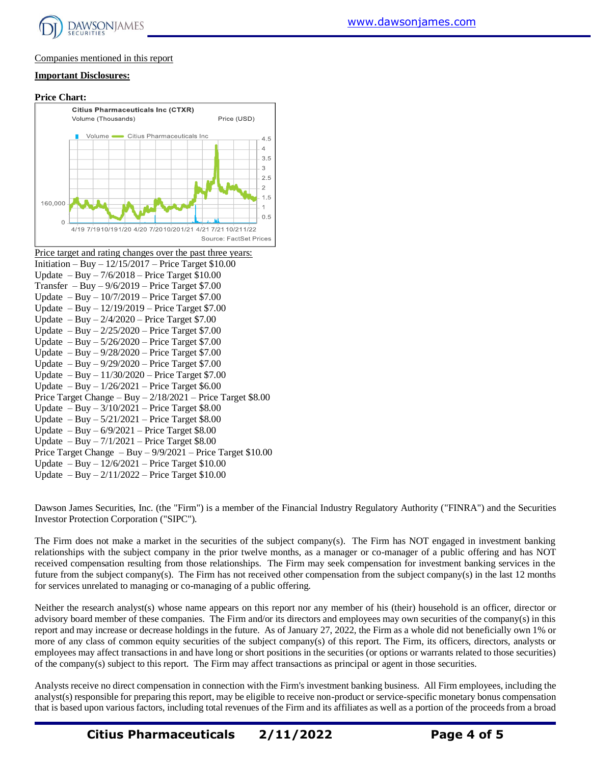

#### Companies mentioned in this report

#### **Important Disclosures:**

#### **Price Chart: Citius Pharmaceuticals Inc (CTXR)** Volume (Thousands) Price (USD) Volume Citius Pharmaceuticals Inc.  $\overline{4}$  $3.5$ 3 2.5  $\mathcal{P}$  $1.5$ 160.000  $0.5$ 4/19 7/1910/191/20 4/20 7/2010/201/21 4/21 7/21 10/211/22 Source: FactSet Prices

| Price target and rating changes over the past three years:      |
|-----------------------------------------------------------------|
| Initiation – Buy – $12/15/2017$ – Price Target \$10.00          |
| Update $-$ Buy $- 7/6/2018$ – Price Target \$10.00              |
| Transfer $-$ Buy $-$ 9/6/2019 – Price Target \$7.00             |
| Update $-$ Buy $-$ 10/7/2019 – Price Target \$7.00              |
| Update $-$ Buy $-$ 12/19/2019 – Price Target \$7.00             |
| Update $-$ Buy $-$ 2/4/2020 $-$ Price Target \$7.00             |
| Update $-$ Buy $- 2/25/2020$ – Price Target \$7.00              |
| Update $-$ Buy $-5/26/2020$ – Price Target \$7.00               |
| Update $-$ Buy $-$ 9/28/2020 $-$ Price Target \$7.00            |
| Update $-$ Buy $-$ 9/29/2020 $-$ Price Target \$7.00            |
| Update $-$ Buy $-$ 11/30/2020 $-$ Price Target \$7.00           |
| Update $-$ Buy $-$ 1/26/2021 $-$ Price Target \$6.00            |
| Price Target Change $-$ Buy $-2/18/2021$ – Price Target \$8.00  |
| Update $-$ Buy $-$ 3/10/2021 $-$ Price Target \$8.00            |
| Update $-$ Buy $-$ 5/21/2021 $-$ Price Target \$8.00            |
| Update $-$ Buy $-$ 6/9/2021 – Price Target \$8.00               |
| Update $-$ Buy $-7/1/2021$ – Price Target \$8.00                |
| Price Target Change $-$ Buy $-$ 9/9/2021 – Price Target \$10.00 |
| Update $-$ Buy $-$ 12/6/2021 $-$ Price Target \$10.00           |
| Update $-$ Buy $-2/11/2022$ – Price Target \$10.00              |

Dawson James Securities, Inc. (the "Firm") is a member of the Financial Industry Regulatory Authority ("FINRA") and the Securities Investor Protection Corporation ("SIPC").

 $4.5$ 

 $\mathbf{1}$ 

The Firm does not make a market in the securities of the subject company(s). The Firm has NOT engaged in investment banking relationships with the subject company in the prior twelve months, as a manager or co-manager of a public offering and has NOT received compensation resulting from those relationships. The Firm may seek compensation for investment banking services in the future from the subject company(s). The Firm has not received other compensation from the subject company(s) in the last 12 months for services unrelated to managing or co-managing of a public offering.

Neither the research analyst(s) whose name appears on this report nor any member of his (their) household is an officer, director or advisory board member of these companies. The Firm and/or its directors and employees may own securities of the company(s) in this report and may increase or decrease holdings in the future. As of January 27, 2022, the Firm as a whole did not beneficially own 1% or more of any class of common equity securities of the subject company(s) of this report. The Firm, its officers, directors, analysts or employees may affect transactions in and have long or short positions in the securities (or options or warrants related to those securities) of the company(s) subject to this report. The Firm may affect transactions as principal or agent in those securities.

Analysts receive no direct compensation in connection with the Firm's investment banking business. All Firm employees, including the analyst(s) responsible for preparing this report, may be eligible to receive non-product or service-specific monetary bonus compensation that is based upon various factors, including total revenues of the Firm and its affiliates as well as a portion of the proceeds from a broad